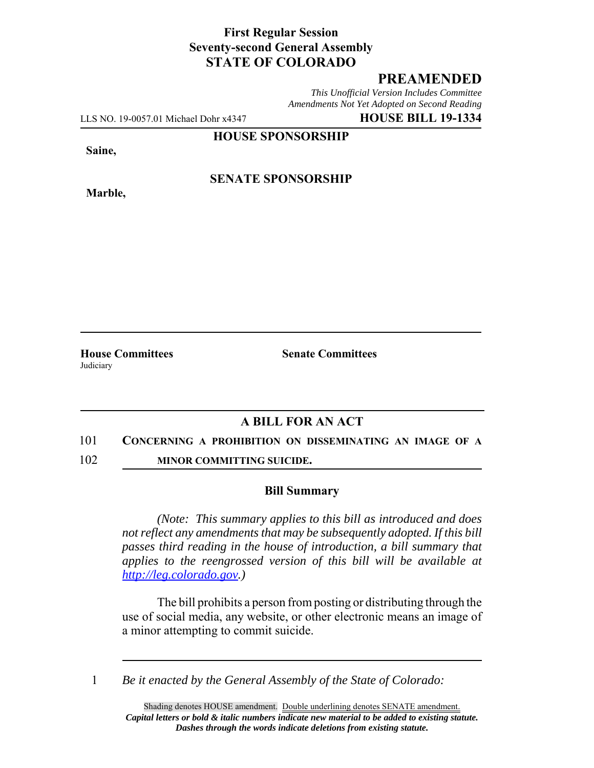# **First Regular Session Seventy-second General Assembly STATE OF COLORADO**

# **PREAMENDED**

*This Unofficial Version Includes Committee Amendments Not Yet Adopted on Second Reading*

LLS NO. 19-0057.01 Michael Dohr x4347 **HOUSE BILL 19-1334**

**HOUSE SPONSORSHIP**

**Saine,**

**Marble,**

### **SENATE SPONSORSHIP**

**House Committees Senate Committees** Judiciary

## **A BILL FOR AN ACT**

### 101 **CONCERNING A PROHIBITION ON DISSEMINATING AN IMAGE OF A**

102 **MINOR COMMITTING SUICIDE.**

### **Bill Summary**

*(Note: This summary applies to this bill as introduced and does not reflect any amendments that may be subsequently adopted. If this bill passes third reading in the house of introduction, a bill summary that applies to the reengrossed version of this bill will be available at http://leg.colorado.gov.)*

The bill prohibits a person from posting or distributing through the use of social media, any website, or other electronic means an image of a minor attempting to commit suicide.

1 *Be it enacted by the General Assembly of the State of Colorado:*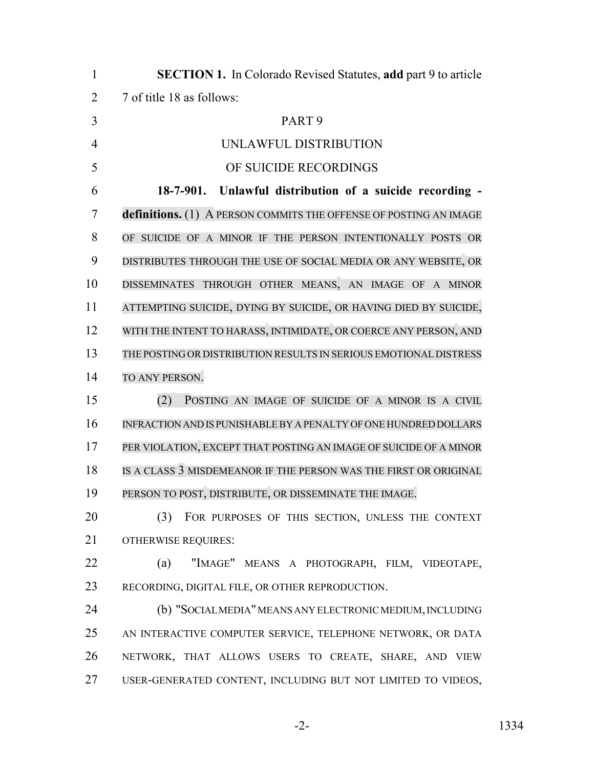| $\mathbf{1}$   | <b>SECTION 1.</b> In Colorado Revised Statutes, add part 9 to article |
|----------------|-----------------------------------------------------------------------|
| $\overline{2}$ | 7 of title 18 as follows:                                             |
| 3              | PART <sub>9</sub>                                                     |
| $\overline{4}$ | UNLAWFUL DISTRIBUTION                                                 |
| 5              | OF SUICIDE RECORDINGS                                                 |
| 6              | 18-7-901. Unlawful distribution of a suicide recording -              |
| 7              | definitions. (1) A PERSON COMMITS THE OFFENSE OF POSTING AN IMAGE     |
| 8              | OF SUICIDE OF A MINOR IF THE PERSON INTENTIONALLY POSTS OR            |
| 9              | DISTRIBUTES THROUGH THE USE OF SOCIAL MEDIA OR ANY WEBSITE, OR        |
| 10             | DISSEMINATES THROUGH OTHER MEANS, AN IMAGE OF A MINOR                 |
| 11             | ATTEMPTING SUICIDE, DYING BY SUICIDE, OR HAVING DIED BY SUICIDE,      |
| 12             | WITH THE INTENT TO HARASS, INTIMIDATE, OR COERCE ANY PERSON, AND      |
| 13             | THE POSTING OR DISTRIBUTION RESULTS IN SERIOUS EMOTIONAL DISTRESS     |
| 14             | TO ANY PERSON.                                                        |
| 15             | (2)<br>POSTING AN IMAGE OF SUICIDE OF A MINOR IS A CIVIL              |
| 16             | INFRACTION AND IS PUNISHABLE BY A PENALTY OF ONE HUNDRED DOLLARS      |
| 17             | PER VIOLATION, EXCEPT THAT POSTING AN IMAGE OF SUICIDE OF A MINOR     |
| 18             | IS A CLASS 3 MISDEMEANOR IF THE PERSON WAS THE FIRST OR ORIGINAL      |
| 19             | PERSON TO POST, DISTRIBUTE, OR DISSEMINATE THE IMAGE.                 |
| 20             | (3)<br>FOR PURPOSES OF THIS SECTION, UNLESS THE CONTEXT               |
| 21             | <b>OTHERWISE REQUIRES:</b>                                            |
| 22             | "IMAGE" MEANS A PHOTOGRAPH, FILM, VIDEOTAPE,<br>(a)                   |
| 23             | RECORDING, DIGITAL FILE, OR OTHER REPRODUCTION.                       |
| 24             | (b) "SOCIALMEDIA" MEANS ANY ELECTRONIC MEDIUM, INCLUDING              |
| 25             | AN INTERACTIVE COMPUTER SERVICE, TELEPHONE NETWORK, OR DATA           |
| 26             | NETWORK, THAT ALLOWS USERS TO CREATE, SHARE, AND VIEW                 |
| 27             | USER-GENERATED CONTENT, INCLUDING BUT NOT LIMITED TO VIDEOS,          |
|                |                                                                       |

-2- 1334